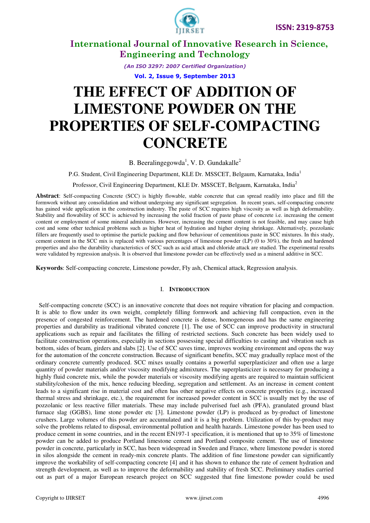

> *(An ISO 3297: 2007 Certified Organization)*  **Vol. 2, Issue 9, September 2013**

# **THE EFFECT OF ADDITION OF LIMESTONE POWDER ON THE PROPERTIES OF SELF-COMPACTING CONCRETE**

B. Beeralingegowda<sup>1</sup>, V. D. Gundakalle<sup>2</sup>

P.G. Student, Civil Engineering Department, KLE Dr. MSSCET, Belgaum, Karnataka, India<sup>1</sup>

Professor, Civil Engineering Department, KLE Dr. MSSCET, Belgaum, Karnataka, India<sup>2</sup>

**Abstract**: Self-compacting Concrete (SCC) is highly flowable, stable concrete that can spread readily into place and fill the formwork without any consolidation and without undergoing any significant segregation. In recent years, self-compacting concrete has gained wide application in the construction industry. The paste of SCC requires high viscosity as well as high deformability. Stability and flowability of SCC is achieved by increasing the solid fraction of paste phase of concrete i.e. increasing the cement content or employment of some mineral admixtures. However, increasing the cement content is not feasible, and may cause high cost and some other technical problems such as higher heat of hydration and higher drying shrinkage. Alternatively, pozzolanic fillers are frequently used to optimise the particle packing and flow behaviour of cementitious paste in SCC mixtures. In this study, cement content in the SCC mix is replaced with various percentages of limestone powder (LP) (0 to 30%), the fresh and hardened properties and also the durability characteristics of SCC such as acid attack and chloride attack are studied. The experimental results were validated by regression analysis. It is observed that limestone powder can be effectively used as a mineral additive in SCC.

**Keywords**: Self-compacting concrete, Limestone powder, Fly ash, Chemical attack, Regression analysis.

#### I. **INTRODUCTION**

 Self-compacting concrete (SCC) is an innovative concrete that does not require vibration for placing and compaction. It is able to flow under its own weight, completely filling formwork and achieving full compaction, even in the presence of congested reinforcement. The hardened concrete is dense, homogeneous and has the same engineering properties and durability as traditional vibrated concrete [1]. The use of SCC can improve productivity in structural applications such as repair and facilitates the filling of restricted sections. Such concrete has been widely used to facilitate construction operations, especially in sections possessing special difficulties to casting and vibration such as bottom, sides of beam, girders and slabs [2]. Use of SCC saves time, improves working environment and opens the way for the automation of the concrete construction. Because of significant benefits, SCC may gradually replace most of the ordinary concrete currently produced. SCC mixes usually contains a powerful superplasticizer and often use a large quantity of powder materials and/or viscosity modifying admixtures. The superplasticizer is necessary for producing a highly fluid concrete mix, while the powder materials or viscosity modifying agents are required to maintain sufficient stability/cohesion of the mix, hence reducing bleeding, segregation and settlement. As an increase in cement content leads to a significant rise in material cost and often has other negative effects on concrete properties (e.g., increased thermal stress and shrinkage, etc.), the requirement for increased powder content in SCC is usually met by the use of pozzolanic or less reactive filler materials. These may include pulverised fuel ash (PFA), granulated ground blast furnace slag (GGBS), lime stone powder etc [3]. Limestone powder (LP) is produced as by-product of limestone crushers. Large volumes of this powder are accumulated and it is a big problem. Utilization of this by-product may solve the problems related to disposal, environmental pollution and health hazards. Limestone powder has been used to produce cement in some countries, and in the recent EN197-1 specification, it is mentioned that up to 35% of limestone powder can be added to produce Portland limestone cement and Portland composite cement. The use of limestone powder in concrete, particularly in SCC, has been widespread in Sweden and France, where limestone powder is stored in silos alongside the cement in ready-mix concrete plants. The addition of fine limestone powder can significantly improve the workability of self-compacting concrete [4] and it has shown to enhance the rate of cement hydration and strength development, as well as to improve the deformability and stability of fresh SCC. Preliminary studies carried out as part of a major European research project on SCC suggested that fine limestone powder could be used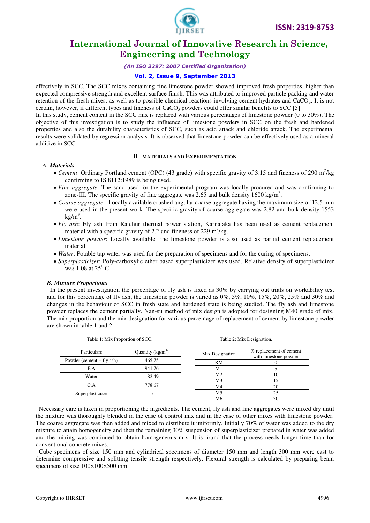

#### *(An ISO 3297: 2007 Certified Organization)*

#### **Vol. 2, Issue 9, September 2013**

effectively in SCC. The SCC mixes containing fine limestone powder showed improved fresh properties, higher than expected compressive strength and excellent surface finish. This was attributed to improved particle packing and water retention of the fresh mixes, as well as to possible chemical reactions involving cement hydrates and  $CaCO<sub>3</sub>$ . It is not certain, however, if different types and fineness of  $CaCO<sub>3</sub>$  powders could offer similar benefits to SCC [5].

In this study, cement content in the SCC mix is replaced with various percentages of limestone powder (0 to 30%). The objective of this investigation is to study the influence of limestone powders in SCC on the fresh and hardened properties and also the durability characteristics of SCC, such as acid attack and chloride attack. The experimental results were validated by regression analysis. It is observed that limestone powder can be effectively used as a mineral additive in SCC.

#### II. **MATERIALS AND EXPERIMENTATION**

#### *A. Materials*

- *Cement*: Ordinary Portland cement (OPC) (43 grade) with specific gravity of 3.15 and fineness of 290 m<sup>2</sup>/kg confirming to IS 8112:1989 is being used.
- *Fine aggregate*: The sand used for the experimental program was locally procured and was confirming to zone-III. The specific gravity of fine aggregate was 2.65 and bulk density 1600 kg/m<sup>3</sup>.
- *Coarse aggregate*: Locally available crushed angular coarse aggregate having the maximum size of 12.5 mm were used in the present work. The specific gravity of coarse aggregate was 2.82 and bulk density 1553  $kg/m<sup>3</sup>$ .
- *Fly ash*: Fly ash from Raichur thermal power station, Karnataka has been used as cement replacement material with a specific gravity of 2.2 and fineness of 229  $m^2/kg$ .
- *Limestone powder*: Locally available fine limestone powder is also used as partial cement replacement material.
- *Water*: Potable tap water was used for the preparation of specimens and for the curing of specimens.
- *Superplasticizer*: Poly-carboxylic ether based superplasticizer was used. Relative density of superplasticizer was 1.08 at  $25^{\circ}$  C.

#### *B. Mixture Proportions*

 In the present investigation the percentage of fly ash is fixed as 30% by carrying out trials on workability test and for this percentage of fly ash, the limestone powder is varied as  $0\%, 5\%, 10\%, 15\%, 20\%, 25\%$  and  $30\%$  and changes in the behaviour of SCC in fresh state and hardened state is being studied. The fly ash and limestone powder replaces the cement partially. Nan-su method of mix design is adopted for designing M40 grade of mix. The mix proportion and the mix designation for various percentage of replacement of cement by limestone powder are shown in table 1 and 2.

| <b>Particulars</b>          | Quantity $(kg/m3)$ |  | Mix Designation | % replacement of cement |
|-----------------------------|--------------------|--|-----------------|-------------------------|
|                             |                    |  |                 | with limestone powder   |
| Powder (cement $+$ fly ash) | 465.75             |  | RM              |                         |
| F.A                         | 941.76             |  | M1              |                         |
| Water                       | 182.49             |  | M <sub>2</sub>  | 10                      |
|                             |                    |  | M <sub>3</sub>  |                         |
| C.A                         | 778.67             |  | M4              | 20                      |
| Superplasticizer            |                    |  | M5              |                         |
|                             |                    |  | М6              |                         |

Table 1: Mix Proportion of SCC. Table 2: Mix Designation.

 Necessary care is taken in proportioning the ingredients. The cement, fly ash and fine aggregates were mixed dry until the mixture was thoroughly blended in the case of control mix and in the case of other mixes with limestone powder. The coarse aggregate was then added and mixed to distribute it uniformly. Initially 70% of water was added to the dry mixture to attain homogeneity and then the remaining 30% suspension of superplasticizer prepared in water was added and the mixing was continued to obtain homogeneous mix. It is found that the process needs longer time than for conventional concrete mixes.

 Cube specimens of size 150 mm and cylindrical specimens of diameter 150 mm and length 300 mm were cast to determine compressive and splitting tensile strength respectively. Flexural strength is calculated by preparing beam specimens of size  $100\times100\times500$  mm.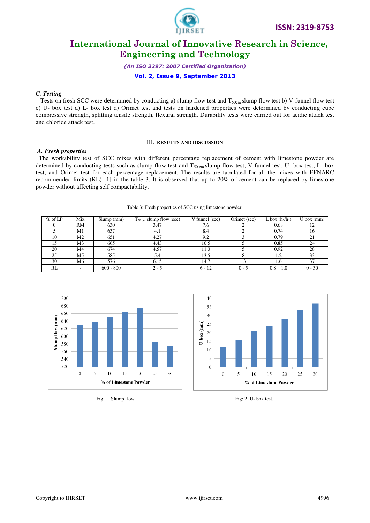

*(An ISO 3297: 2007 Certified Organization)* 

**Vol. 2, Issue 9, September 2013**

#### *C. Testing*

Tests on fresh SCC were determined by conducting a) slump flow test and  $T_{50cm}$  slump flow test b) V-funnel flow test c) U- box test d) L- box test d) Orimet test and tests on hardened properties were determined by conducting cube compressive strength, splitting tensile strength, flexural strength. Durability tests were carried out for acidic attack test and chloride attack test.

#### III. **RESULTS AND DISCUSSION**

#### *A. Fresh properties*

The workability test of SCC mixes with different percentage replacement of cement with limestone powder are determined by conducting tests such as slump flow test and  $T_{50 \text{ cm}}$  slump flow test, V-funnel test, U- box test, L- box test, and Orimet test for each percentage replacement. The results are tabulated for all the mixes with EFNARC recommended limits (RL) [1] in the table 3. It is observed that up to 20% of cement can be replaced by limestone powder without affecting self compactability.

| $%$ of LP | Mix | Slump(mm)   | $T_{50 \text{ cm}}$ slump flow (sec) | V funnel (sec) | Orimet (sec) | L box $(h_2/h_1)$ | $U$ box $(mm)$ |
|-----------|-----|-------------|--------------------------------------|----------------|--------------|-------------------|----------------|
|           | RM  | 630         | 3.47                                 | 7.6            |              | 0.68              | 12             |
|           | M1  | 637         | 4.1                                  | 8.4            |              | 0.74              | 16             |
| 10        | M2  | 651         | 4.27                                 | 9.2            |              | 0.79              | 21             |
|           | M3  | 665         | 4.43                                 | 10.5           |              | 0.85              | 24             |
| 20        | M4  | 674         | 4.57                                 | 11.3           |              | 0.92              | 28             |
| 25        | M5  | 585         | 5.4                                  | 13.5           |              | 1.2               | 33             |
| 30        | M6  | 576         | 6.15                                 | 14.7           | 13           | 1.6               | 37             |
| <b>RL</b> |     | $600 - 800$ | $2 - 5$                              | $6 - 12$       | $0 - 5$      | $0.8 - 1.0$       | $0 - 30$       |







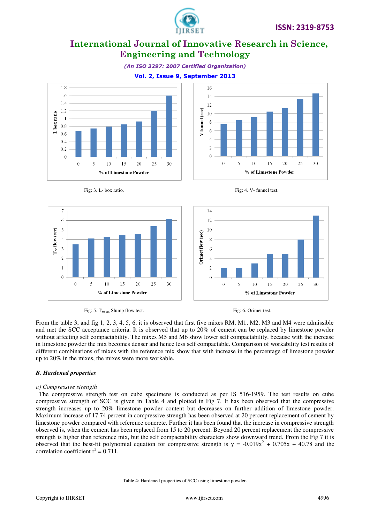

 $16$ 

 $14$ 

 $12$ 

 $10$ 

8

6

 $\overline{4}$ 

 $\overline{2}$ 

 $\Omega$ 

 $\theta$ 

5

V funnel (sec)



### **Vol. 2, Issue 9, September 2013**





 $10$ 

15

% of Limestone Powder

20

25

30





 $10$ 

 $15$ 

% of Limestone Powder

20



From the table 3, and fig 1, 2, 3, 4, 5, 6, it is observed that first five mixes RM, M1, M2, M3 and M4 were admissible and met the SCC acceptance criteria. It is observed that up to 20% of cement can be replaced by limestone powder without affecting self compactability. The mixes M5 and M6 show lower self compactability, because with the increase in limestone powder the mix becomes denser and hence less self compactable. Comparison of workability test results of different combinations of mixes with the reference mix show that with increase in the percentage of limestone powder up to 20% in the mixes, the mixes were more workable.

#### *B. Hardened properties*

7

 $\overline{6}$ 

5

 $\overline{4}$ 

 $\overline{3}$ 

 $\overline{2}$ 

 $\mathbf{1}$ 

 $\overline{0}$ 

 $\overline{0}$ 

5

 $\Gamma_{50}$  flow (sec)

#### *a) Compressive strength*

 The compressive strength test on cube specimens is conducted as per IS 516-1959. The test results on cube compressive strength of SCC is given in Table 4 and plotted in Fig 7. It has been observed that the compressive strength increases up to 20% limestone powder content but decreases on further addition of limestone powder. Maximum increase of 17.74 percent in compressive strength has been observed at 20 percent replacement of cement by limestone powder compared with reference concrete. Further it has been found that the increase in compressive strength observed is, when the cement has been replaced from 15 to 20 percent. Beyond 20 percent replacement the compressive strength is higher than reference mix, but the self compactability characters show downward trend. From the Fig 7 it is observed that the best-fit polynomial equation for compressive strength is  $y = -0.019x^2 + 0.705x + 40.78$  and the correlation coefficient  $r^2 = 0.711$ .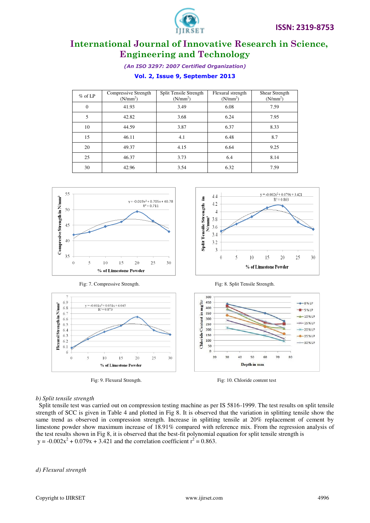

*(An ISO 3297: 2007 Certified Organization)* 

### **Vol. 2, Issue 9, September 2013**

| $%$ of LP      | Compressive Strength<br>(N/mm <sup>2</sup> ) | Split Tensile Strength<br>(N/mm <sup>2</sup> ) | Flexural strength<br>(N/mm <sup>2</sup> ) | Shear Strength<br>(N/mm <sup>2</sup> ) |
|----------------|----------------------------------------------|------------------------------------------------|-------------------------------------------|----------------------------------------|
| $\overline{0}$ | 41.93                                        | 3.49                                           | 6.08                                      | 7.59                                   |
| 5              | 42.82                                        | 3.68                                           | 6.24                                      | 7.95                                   |
| 10             | 44.59                                        | 3.87                                           | 6.37                                      | 8.33                                   |
| 15             | 46.11                                        | 4.1                                            | 6.48                                      | 8.7                                    |
| 20             | 49.37                                        | 4.15                                           | 6.64                                      | 9.25                                   |
| 25             | 46.37                                        | 3.73                                           | 6.4                                       | 8.14                                   |
| 30             | 42.96                                        | 3.54                                           | 6.32                                      | 7.59                                   |









#### *b) Split tensile strength*

 Split tensile test was carried out on compression testing machine as per IS 5816-1999. The test results on split tensile strength of SCC is given in Table 4 and plotted in Fig 8. It is observed that the variation in splitting tensile show the same trend as observed in compression strength. Increase in splitting tensile at 20% replacement of cement by limestone powder show maximum increase of 18.91% compared with reference mix. From the regression analysis of the test results shown in Fig 8, it is observed that the best-fit polynomial equation for split tensile strength is  $y = -0.002x^{2} + 0.079x + 3.421$  and the correlation coefficient  $r^{2} = 0.863$ .

*d) Flexural strength*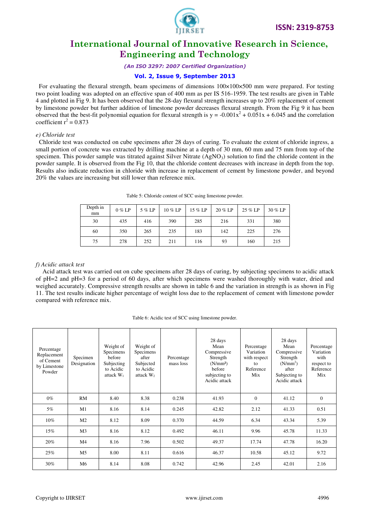

*(An ISO 3297: 2007 Certified Organization)* 

#### **Vol. 2, Issue 9, September 2013**

For evaluating the flexural strength, beam specimens of dimensions  $100\times100\times500$  mm were prepared. For testing two point loading was adopted on an effective span of 400 mm as per IS 516-1959. The test results are given in Table 4 and plotted in Fig 9. It has been observed that the 28-day flexural strength increases up to 20% replacement of cement by limestone powder but further addition of limestone powder decreases flexural strength. From the Fig 9 it has been observed that the best-fit polynomial equation for flexural strength is  $y = -0.001x^2 + 0.051x + 6.045$  and the correlation coefficient  $r^2 = 0.873$ 

#### *e) Chloride test*

 Chloride test was conducted on cube specimens after 28 days of curing. To evaluate the extent of chloride ingress, a small portion of concrete was extracted by drilling machine at a depth of 30 mm, 60 mm and 75 mm from top of the specimen. This powder sample was titrated against Silver Nitrate  $(AgNO<sub>3</sub>)$  solution to find the chloride content in the powder sample. It is observed from the Fig 10, that the chloride content decreases with increase in depth from the top. Results also indicate reduction in chloride with increase in replacement of cement by limestone powder, and beyond 20% the values are increasing but still lower than reference mix.

| Depth in<br>mm | $0\%$ LP | $5\%$ LP | 10 % LP | 15 % LP | 20 % LP | 25 % LP | $30\%$ LP |
|----------------|----------|----------|---------|---------|---------|---------|-----------|
| 30             | 435      | 416      | 390     | 285     | 216     | 331     | 380       |
| 60             | 350      | 265      | 235     | 183     | 142     | 225     | 276       |
| 75             | 278      | 252      | 211     | 116     | 93      | 160     | 215       |

Table 5: Chloride content of SCC using limestone powder.

#### *f) Acidic attack test*

Acid attack test was carried out on cube specimens after 28 days of curing, by subjecting specimens to acidic attack of pH=2 and pH=3 for a period of 60 days, after which specimens were washed thoroughly with water, dried and weighed accurately. Compressive strength results are shown in table 6 and the variation in strength is as shown in Fig 11. The test results indicate higher percentage of weight loss due to the replacement of cement with limestone powder compared with reference mix.

| Table 6: Acidic test of SCC using limestone powder. |  |  |
|-----------------------------------------------------|--|--|
|                                                     |  |  |

| Percentage<br>Replacement<br>of Cement<br>by Limestone<br>Powder | Specimen<br>Designation | Weight of<br>Specimens<br>before<br>Subjecting<br>to Acidic<br>attack $W_1$ | Weight of<br>Specimens<br>after<br>Subjected<br>to Acidic<br>attack $W2$ | Percentage<br>mass loss | 28 days<br>Mean<br>Compressive<br>Strength<br>(N/mm <sup>2</sup> )<br>before<br>subjecting to<br>Acidic attack | Percentage<br>Variation<br>with respect<br>$f_{\Omega}$<br>Reference<br>Mix | 28 days<br>Mean<br>Compressive<br>Strength<br>(N/mm <sup>2</sup> )<br>after<br>Subjecting to<br>Acidic attack | Percentage<br>Variation<br>with<br>respect to<br>Reference<br>Mix |
|------------------------------------------------------------------|-------------------------|-----------------------------------------------------------------------------|--------------------------------------------------------------------------|-------------------------|----------------------------------------------------------------------------------------------------------------|-----------------------------------------------------------------------------|---------------------------------------------------------------------------------------------------------------|-------------------------------------------------------------------|
| $0\%$                                                            | RM                      | 8.40                                                                        | 8.38                                                                     | 0.238                   | 41.93                                                                                                          | $\overline{0}$                                                              | 41.12                                                                                                         | $\mathbf{0}$                                                      |
| 5%                                                               | M1                      | 8.16                                                                        | 8.14                                                                     | 0.245                   | 42.82                                                                                                          | 2.12                                                                        | 41.33                                                                                                         | 0.51                                                              |
| 10%                                                              | M <sub>2</sub>          | 8.12                                                                        | 8.09                                                                     | 0.370                   | 44.59                                                                                                          | 6.34                                                                        | 43.34                                                                                                         | 5.39                                                              |
| 15%                                                              | M <sub>3</sub>          | 8.16                                                                        | 8.12                                                                     | 0.492                   | 46.11                                                                                                          | 9.96                                                                        | 45.78                                                                                                         | 11.33                                                             |
| 20%                                                              | M <sub>4</sub>          | 8.16                                                                        | 7.96                                                                     | 0.502                   | 49.37                                                                                                          | 17.74                                                                       | 47.78                                                                                                         | 16.20                                                             |
| 25%                                                              | M <sub>5</sub>          | 8.00                                                                        | 8.11                                                                     | 0.616                   | 46.37                                                                                                          | 10.58                                                                       | 45.12                                                                                                         | 9.72                                                              |
| 30%                                                              | M <sub>6</sub>          | 8.14                                                                        | 8.08                                                                     | 0.742                   | 42.96                                                                                                          | 2.45                                                                        | 42.01                                                                                                         | 2.16                                                              |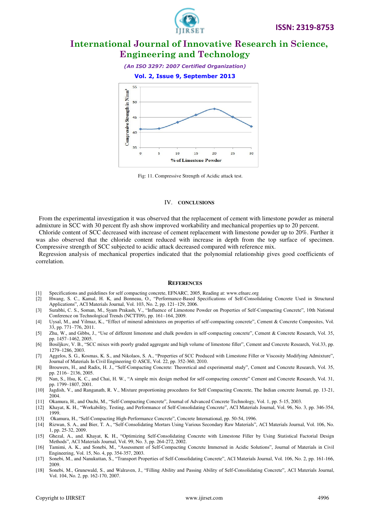

*(An ISO 3297: 2007 Certified Organization)* 

#### **Vol. 2, Issue 9, September 2013**



Fig: 11. Compressive Strength of Acidic attack test.

#### IV. **CONCLUSIONS**

 From the experimental investigation it was observed that the replacement of cement with limestone powder as mineral admixture in SCC with 30 percent fly ash show improved workability and mechanical properties up to 20 percent.

 Chloride content of SCC decreased with increase of cement replacement with limestone powder up to 20%. Further it was also observed that the chloride content reduced with increase in depth from the top surface of specimen. Compressive strength of SCC subjected to acidic attack decreased compared with reference mix.

 Regression analysis of mechanical properties indicated that the polynomial relationship gives good coefficients of correlation.

#### **REFERENCES**

- [1] Specifications and guidelines for self compacting concrete, EFNARC, 2005, Reading at: www.efnarc.org
- [2] Hwang, S. C., Kamal, H. K, and Bonneau, O., "Performance-Based Specifications of Self-Consolidating Concrete Used in Structural Applications", ACI Materials Journal, Vol. 103, No. 2, pp. 121–129, 2006.
- [3] Surabhi, C. S., Soman, M., Syam Prakash, V., "Influence of Limestone Powder on Properties of Self-Compacting Concrete", 10th National Conference on Technological Trends (NCTT09), pp. 161–164, 2009.
- [4] Uysal, M., and Yilmaz, K., "Effect of mineral admixtures on properties of self-compacting concrete", Cement & Concrete Composites, Vol. 33, pp. 771–776, 2011.
- [5] Zhu, W., and Gibbs, J., "Use of different limestone and chalk powders in self-compacting concrete", Cement & Concrete Research, Vol. 35, pp. 1457–1462, 2005.
- [6] Bosiljkov, V. B., "SCC mixes with poorly graded aggregate and high volume of limestone filler", Cement and Concrete Research, Vol.33, pp. 1279–1286, 2003.
- [7] Aggelos, S. G., Kosmas, K. S., and Nikolaos, S. A., "Properties of SCC Produced with Limestone Filler or Viscosity Modifying Admixture", Journal of Materials In Civil Engineering © ASCE, Vol. 22, pp. 352-360, 2010.
- [8] Brouwers, H., and Radix, H. J., "Self-Compacting Concrete: Theoretical and experimental study", Cement and Concrete Research, Vol. 35, pp. 2116– 2136, 2005.
- [9] Nan, S., Hsu, K. C., and Chai, H. W., "A simple mix design method for self-compacting concrete" Cement and Concrete Research, Vol. 31, pp. 1799–1807, 2001.
- [10] Jagdish, V., and Ranganath, R. V., Mixture proportioning procedures for Self Compacting Concrete, The Indian concrete Journal, pp. 13-21, 2004.
- [11] Okamura, H., and Ouchi, M., "Self-Compacting Concrete", Journal of Advanced Concrete Technology, Vol. 1, pp. 5-15, 2003.
- [12] Khayat, K. H., "Workability, Testing, and Performance of Self-Consolidating Concrete", ACI Materials Journal, Vol. 96, No. 3, pp. 346-354, 1999.
- [13] Okamura, H., "Self-Compacting High-Performance Concrete", Concrete International, pp. 50-54, 1996.
- [14] Rizwan, S. A., and Bier, T. A., "Self-Consolidating Mortars Using Various Secondary Raw Materials", ACI Materials Journal, Vol. 106, No. 1, pp. 25-32, 2009.
- [15] Ghezal, A., and. Khayat, K. H., "Optimizing Self-Consolidating Concrete with Limestone Filler by Using Statistical Factorial Design Methods", ACI Materials Journal, Vol. 99, No. 3, pp. 264-272, 2002.
- [16] Tamimi, A. K., and Sonebi, M., "Assessment of Self-Compacting Concrete Immersed in Acidic Solutions", Journal of Materials in Civil Engineering, Vol. 15, No. 4, pp. 354-357, 2003.
- [17] Sonebi, M., and Nanukuttan, S., "Transport Properties of Self-Consolidating Concrete", ACI Materials Journal, Vol. 106, No. 2, pp. 161-166, 2009.
- [18] Sonebi, M., Grunewald, S., and Walraven, J., "Filling Ability and Passing Ability of Self-Consolidating Concrete", ACI Materials Journal, Vol. 104, No. 2, pp. 162-170, 2007.